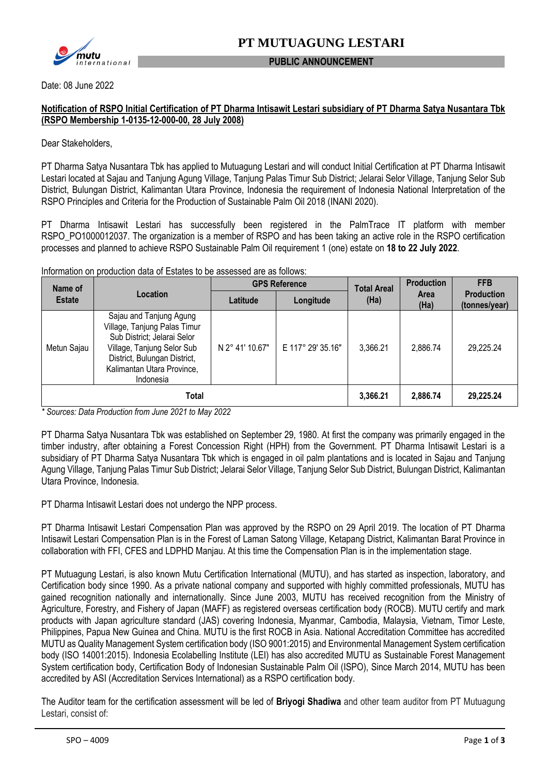

#### **PUBLIC ANNOUNCEMENT**

Date: 08 June 2022

#### **Notification of RSPO Initial Certification of PT Dharma Intisawit Lestari subsidiary of PT Dharma Satya Nusantara Tbk (RSPO Membership 1-0135-12-000-00, 28 July 2008)**

Dear Stakeholders,

PT Dharma Satya Nusantara Tbk has applied to Mutuagung Lestari and will conduct Initial Certification at PT Dharma Intisawit Lestari located at Sajau and Tanjung Agung Village, Tanjung Palas Timur Sub District; Jelarai Selor Village, Tanjung Selor Sub District, Bulungan District, Kalimantan Utara Province, Indonesia the requirement of Indonesia National Interpretation of the RSPO Principles and Criteria for the Production of Sustainable Palm Oil 2018 (INANI 2020).

PT Dharma Intisawit Lestari has successfully been registered in the PalmTrace IT platform with member RSPO\_PO1000012037. The organization is a member of RSPO and has been taking an active role in the RSPO certification processes and planned to achieve RSPO Sustainable Palm Oil requirement 1 (one) estate on **18 to 22 July 2022**.

Information on production data of Estates to be assessed are as follows:

| Name of<br><b>Estate</b> | Location                                                                                                                                                                                        | <b>GPS Reference</b> |                   | <b>Total Areal</b> | <b>Production</b>   | <b>FFB</b>                         |
|--------------------------|-------------------------------------------------------------------------------------------------------------------------------------------------------------------------------------------------|----------------------|-------------------|--------------------|---------------------|------------------------------------|
|                          |                                                                                                                                                                                                 | Latitude             | Longitude         | (Ha)               | <b>Area</b><br>(Ha) | <b>Production</b><br>(tonnes/year) |
| Metun Sajau              | Sajau and Tanjung Agung<br>Village, Tanjung Palas Timur<br>Sub District; Jelarai Selor<br>Village, Tanjung Selor Sub<br>District, Bulungan District,<br>Kalimantan Utara Province,<br>Indonesia | N 2° 41' 10.67"      | E 117° 29' 35.16" | 3,366.21           | 2,886.74            | 29,225.24                          |
| Total                    |                                                                                                                                                                                                 |                      |                   |                    | 2,886.74            | 29,225.24                          |

*\* Sources: Data Production from June 2021 to May 2022*

PT Dharma Satya Nusantara Tbk was established on September 29, 1980. At first the company was primarily engaged in the timber industry, after obtaining a Forest Concession Right (HPH) from the Government. PT Dharma Intisawit Lestari is a subsidiary of PT Dharma Satya Nusantara Tbk which is engaged in oil palm plantations and is located in Sajau and Tanjung Agung Village, Tanjung Palas Timur Sub District; Jelarai Selor Village, Tanjung Selor Sub District, Bulungan District, Kalimantan Utara Province, Indonesia.

PT Dharma Intisawit Lestari does not undergo the NPP process.

PT Dharma Intisawit Lestari Compensation Plan was approved by the RSPO on 29 April 2019. The location of PT Dharma Intisawit Lestari Compensation Plan is in the Forest of Laman Satong Village, Ketapang District, Kalimantan Barat Province in collaboration with FFI, CFES and LDPHD Manjau. At this time the Compensation Plan is in the implementation stage.

PT Mutuagung Lestari, is also known Mutu Certification International (MUTU), and has started as inspection, laboratory, and Certification body since 1990. As a private national company and supported with highly committed professionals, MUTU has gained recognition nationally and internationally. Since June 2003, MUTU has received recognition from the Ministry of Agriculture, Forestry, and Fishery of Japan (MAFF) as registered overseas certification body (ROCB). MUTU certify and mark products with Japan agriculture standard (JAS) covering Indonesia, Myanmar, Cambodia, Malaysia, Vietnam, Timor Leste, Philippines, Papua New Guinea and China. MUTU is the first ROCB in Asia. National Accreditation Committee has accredited MUTU as Quality Management System certification body (ISO 9001:2015) and Environmental Management System certification body (ISO 14001:2015). Indonesia Ecolabelling Institute (LEI) has also accredited MUTU as Sustainable Forest Management System certification body, Certification Body of Indonesian Sustainable Palm Oil (ISPO), Since March 2014, MUTU has been accredited by ASI (Accreditation Services International) as a RSPO certification body.

The Auditor team for the certification assessment will be led of **Briyogi Shadiwa** and other team auditor from PT Mutuagung Lestari, consist of: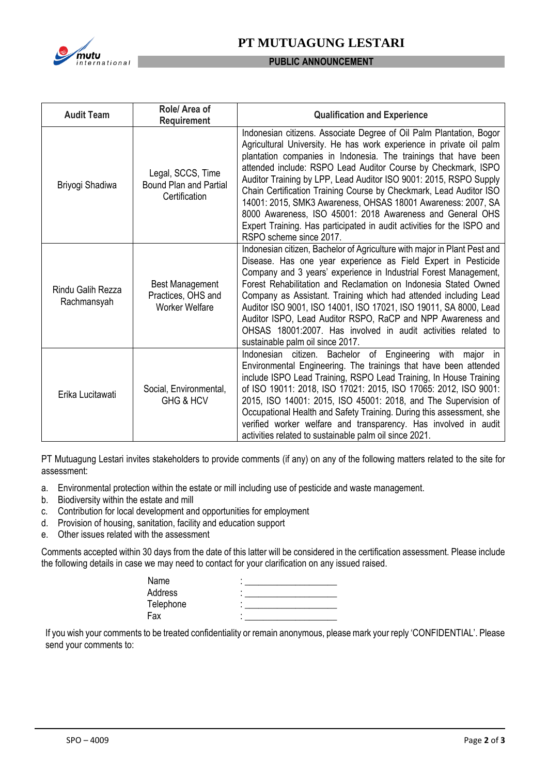

## **PT MUTUAGUNG LESTARI**

#### **PUBLIC ANNOUNCEMENT**

| <b>Audit Team</b>                                                                                         | Role/ Area of<br><b>Requirement</b>                                 | <b>Qualification and Experience</b>                                                                                                                                                                                                                                                                                                                                                                                                                                                                                                                                                                                                                         |  |
|-----------------------------------------------------------------------------------------------------------|---------------------------------------------------------------------|-------------------------------------------------------------------------------------------------------------------------------------------------------------------------------------------------------------------------------------------------------------------------------------------------------------------------------------------------------------------------------------------------------------------------------------------------------------------------------------------------------------------------------------------------------------------------------------------------------------------------------------------------------------|--|
| Briyogi Shadiwa                                                                                           | Legal, SCCS, Time<br><b>Bound Plan and Partial</b><br>Certification | Indonesian citizens. Associate Degree of Oil Palm Plantation, Bogor<br>Agricultural University. He has work experience in private oil palm<br>plantation companies in Indonesia. The trainings that have been<br>attended include: RSPO Lead Auditor Course by Checkmark, ISPO<br>Auditor Training by LPP, Lead Auditor ISO 9001: 2015, RSPO Supply<br>Chain Certification Training Course by Checkmark, Lead Auditor ISO<br>14001: 2015, SMK3 Awareness, OHSAS 18001 Awareness: 2007, SA<br>8000 Awareness, ISO 45001: 2018 Awareness and General OHS<br>Expert Training. Has participated in audit activities for the ISPO and<br>RSPO scheme since 2017. |  |
| <b>Best Management</b><br>Rindu Galih Rezza<br>Practices, OHS and<br>Rachmansyah<br><b>Worker Welfare</b> |                                                                     | Indonesian citizen, Bachelor of Agriculture with major in Plant Pest and<br>Disease. Has one year experience as Field Expert in Pesticide<br>Company and 3 years' experience in Industrial Forest Management,<br>Forest Rehabilitation and Reclamation on Indonesia Stated Owned<br>Company as Assistant. Training which had attended including Lead<br>Auditor ISO 9001, ISO 14001, ISO 17021, ISO 19011, SA 8000, Lead<br>Auditor ISPO, Lead Auditor RSPO, RaCP and NPP Awareness and<br>OHSAS 18001:2007. Has involved in audit activities related to<br>sustainable palm oil since 2017.                                                                |  |
| Erika Lucitawati                                                                                          | Social, Environmental,<br>GHG & HCV                                 | Indonesian citizen. Bachelor of Engineering with major in<br>Environmental Engineering. The trainings that have been attended<br>include ISPO Lead Training, RSPO Lead Training, In House Training<br>of ISO 19011: 2018, ISO 17021: 2015, ISO 17065: 2012, ISO 9001:<br>2015, ISO 14001: 2015, ISO 45001: 2018, and The Supervision of<br>Occupational Health and Safety Training. During this assessment, she<br>verified worker welfare and transparency. Has involved in audit<br>activities related to sustainable palm oil since 2021.                                                                                                                |  |

PT Mutuagung Lestari invites stakeholders to provide comments (if any) on any of the following matters related to the site for assessment:

- a. Environmental protection within the estate or mill including use of pesticide and waste management.
- b. Biodiversity within the estate and mill
- c. Contribution for local development and opportunities for employment
- d. Provision of housing, sanitation, facility and education support
- e. Other issues related with the assessment

Comments accepted within 30 days from the date of this latter will be considered in the certification assessment. Please include the following details in case we may need to contact for your clarification on any issued raised.

| Name      |  |
|-----------|--|
| Address   |  |
| Telephone |  |
| Fax       |  |

If you wish your comments to be treated confidentiality or remain anonymous, please mark your reply 'CONFIDENTIAL'. Please send your comments to: